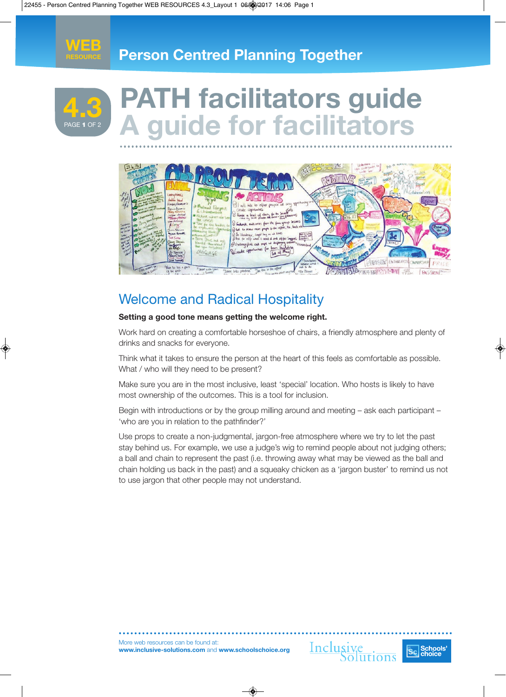



# **PATH facilitators guide A guide for facilitators 4.3**



## Welcome and Radical Hospitality

#### **Setting a good tone means getting the welcome right.**

Work hard on creating a comfortable horseshoe of chairs, a friendly atmosphere and plenty of drinks and snacks for everyone.

Think what it takes to ensure the person at the heart of this feels as comfortable as possible. What / who will they need to be present?

Make sure you are in the most inclusive, least 'special' location. Who hosts is likely to have most ownership of the outcomes. This is a tool for inclusion.

Begin with introductions or by the group milling around and meeting – ask each participant – 'who are you in relation to the pathfinder?'

Use props to create a non-judgmental, jargon-free atmosphere where we try to let the past stay behind us. For example, we use a judge's wig to remind people about not judging others; a ball and chain to represent the past (i.e. throwing away what may be viewed as the ball and chain holding us back in the past) and a squeaky chicken as a 'jargon buster' to remind us not to use jargon that other people may not understand.

More web resources can be found at: **www.inclusive-solutions.com** and **www.schoolschoice.org**